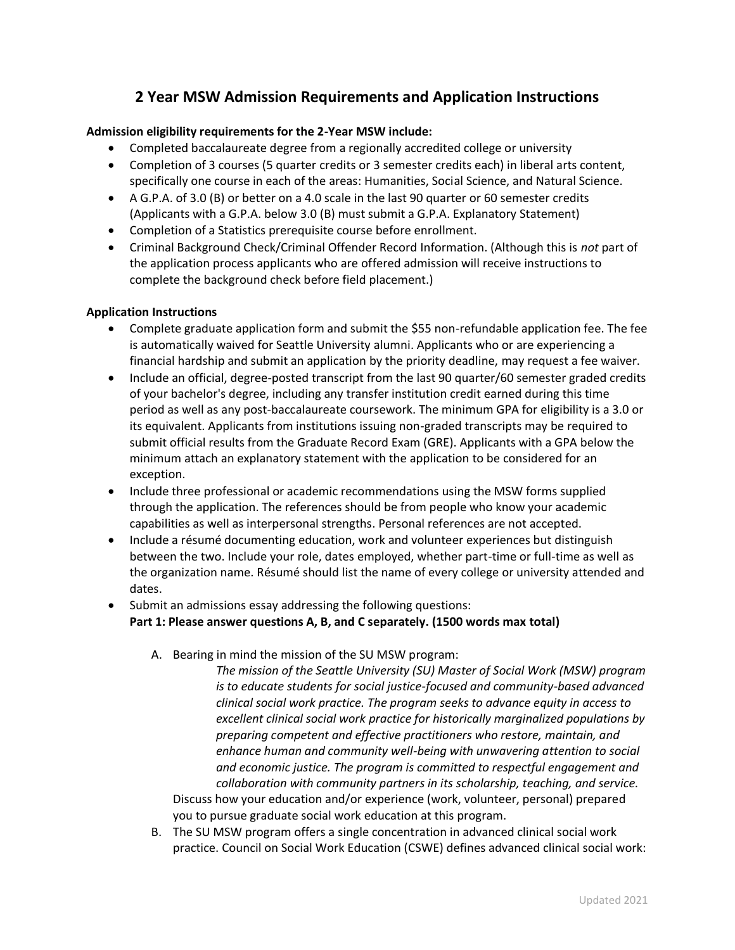## **2 Year MSW Admission Requirements and Application Instructions**

## **Admission eligibility requirements for the 2-Year MSW include:**

- Completed baccalaureate degree from a regionally accredited college or university
- Completion of 3 courses (5 quarter credits or 3 semester credits each) in liberal arts content, specifically one course in each of the areas: Humanities, Social Science, and Natural Science.
- A G.P.A. of 3.0 (B) or better on a 4.0 scale in the last 90 quarter or 60 semester credits (Applicants with a G.P.A. below 3.0 (B) must submit a G.P.A. Explanatory Statement)
- Completion of a Statistics prerequisite course before enrollment.
- Criminal Background Check/Criminal Offender Record Information. (Although this is *not* part of the application process applicants who are offered admission will receive instructions to complete the background check before field placement.)

## **Application Instructions**

- Complete graduate application form and submit the \$55 non-refundable application fee. The fee is automatically waived for Seattle University alumni. Applicants who or are experiencing a financial hardship and submit an application by the priority deadline, may request a fee waiver.
- Include an official, degree-posted transcript from the last 90 quarter/60 semester graded credits of your bachelor's degree, including any transfer institution credit earned during this time period as well as any post-baccalaureate coursework. The minimum GPA for eligibility is a 3.0 or its equivalent. Applicants from institutions issuing non-graded transcripts may be required to submit official results from the Graduate Record Exam (GRE). Applicants with a GPA below the minimum attach an explanatory statement with the application to be considered for an exception.
- Include three professional or academic recommendations using the MSW forms supplied through the application. The references should be from people who know your academic capabilities as well as interpersonal strengths. Personal references are not accepted.
- Include a résumé documenting education, work and volunteer experiences but distinguish between the two. Include your role, dates employed, whether part-time or full-time as well as the organization name. Résumé should list the name of every college or university attended and dates.
- Submit an admissions essay addressing the following questions: **Part 1: Please answer questions A, B, and C separately. (1500 words max total)**
	- A. Bearing in mind the mission of the SU MSW program:
		- *The mission of the Seattle University (SU) Master of Social Work (MSW) program is to educate students for social justice-focused and community-based advanced clinical social work practice. The program seeks to advance equity in access to excellent clinical social work practice for historically marginalized populations by preparing competent and effective practitioners who restore, maintain, and enhance human and community well-being with unwavering attention to social and economic justice. The program is committed to respectful engagement and collaboration with community partners in its scholarship, teaching, and service.* Discuss how your education and/or experience (work, volunteer, personal) prepared you to pursue graduate social work education at this program.
	- B. The SU MSW program offers a single concentration in advanced clinical social work practice. Council on Social Work Education (CSWE) defines advanced clinical social work: